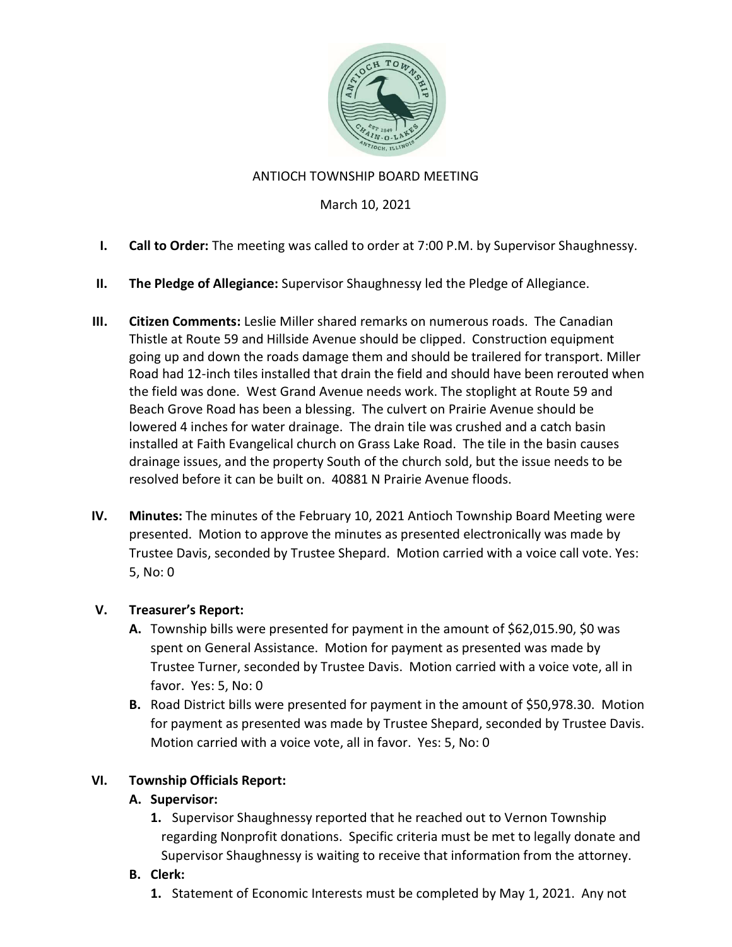

## ANTIOCH TOWNSHIP BOARD MEETING

#### March 10, 2021

- I. Call to Order: The meeting was called to order at 7:00 P.M. by Supervisor Shaughnessy.
- II. The Pledge of Allegiance: Supervisor Shaughnessy led the Pledge of Allegiance.
- III. Citizen Comments: Leslie Miller shared remarks on numerous roads. The Canadian Thistle at Route 59 and Hillside Avenue should be clipped. Construction equipment going up and down the roads damage them and should be trailered for transport. Miller Road had 12-inch tiles installed that drain the field and should have been rerouted when the field was done. West Grand Avenue needs work. The stoplight at Route 59 and Beach Grove Road has been a blessing. The culvert on Prairie Avenue should be lowered 4 inches for water drainage. The drain tile was crushed and a catch basin installed at Faith Evangelical church on Grass Lake Road. The tile in the basin causes drainage issues, and the property South of the church sold, but the issue needs to be resolved before it can be built on. 40881 N Prairie Avenue floods.
- IV. Minutes: The minutes of the February 10, 2021 Antioch Township Board Meeting were presented. Motion to approve the minutes as presented electronically was made by Trustee Davis, seconded by Trustee Shepard. Motion carried with a voice call vote. Yes: 5, No: 0

#### V. Treasurer's Report:

- A. Township bills were presented for payment in the amount of \$62,015.90, \$0 was spent on General Assistance. Motion for payment as presented was made by Trustee Turner, seconded by Trustee Davis. Motion carried with a voice vote, all in favor. Yes: 5, No: 0
- B. Road District bills were presented for payment in the amount of \$50,978.30. Motion for payment as presented was made by Trustee Shepard, seconded by Trustee Davis. Motion carried with a voice vote, all in favor. Yes: 5, No: 0

# VI. Township Officials Report:

# A. Supervisor:

1. Supervisor Shaughnessy reported that he reached out to Vernon Township regarding Nonprofit donations. Specific criteria must be met to legally donate and Supervisor Shaughnessy is waiting to receive that information from the attorney.

# B. Clerk:

1. Statement of Economic Interests must be completed by May 1, 2021. Any not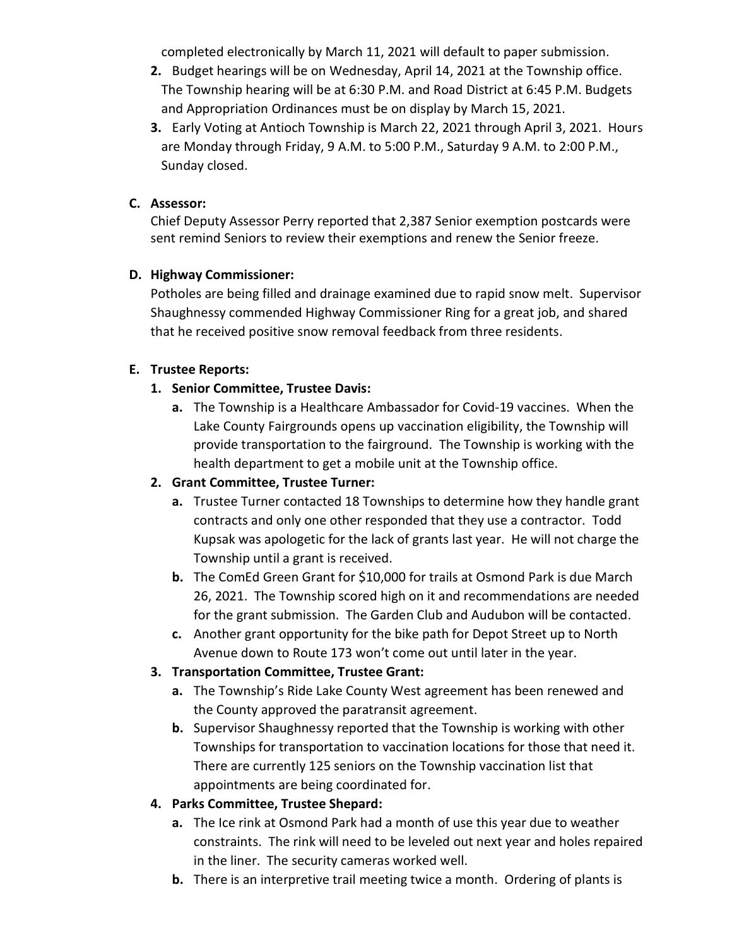completed electronically by March 11, 2021 will default to paper submission.

- 2. Budget hearings will be on Wednesday, April 14, 2021 at the Township office. The Township hearing will be at 6:30 P.M. and Road District at 6:45 P.M. Budgets and Appropriation Ordinances must be on display by March 15, 2021.
- 3. Early Voting at Antioch Township is March 22, 2021 through April 3, 2021. Hours are Monday through Friday, 9 A.M. to 5:00 P.M., Saturday 9 A.M. to 2:00 P.M., Sunday closed.

## C. Assessor:

Chief Deputy Assessor Perry reported that 2,387 Senior exemption postcards were sent remind Seniors to review their exemptions and renew the Senior freeze.

## D. Highway Commissioner:

Potholes are being filled and drainage examined due to rapid snow melt. Supervisor Shaughnessy commended Highway Commissioner Ring for a great job, and shared that he received positive snow removal feedback from three residents.

## E. Trustee Reports:

## 1. Senior Committee, Trustee Davis:

a. The Township is a Healthcare Ambassador for Covid-19 vaccines. When the Lake County Fairgrounds opens up vaccination eligibility, the Township will provide transportation to the fairground. The Township is working with the health department to get a mobile unit at the Township office.

# 2. Grant Committee, Trustee Turner:

- a. Trustee Turner contacted 18 Townships to determine how they handle grant contracts and only one other responded that they use a contractor. Todd Kupsak was apologetic for the lack of grants last year. He will not charge the Township until a grant is received.
- b. The ComEd Green Grant for \$10,000 for trails at Osmond Park is due March 26, 2021. The Township scored high on it and recommendations are needed for the grant submission. The Garden Club and Audubon will be contacted.
- c. Another grant opportunity for the bike path for Depot Street up to North Avenue down to Route 173 won't come out until later in the year.

# 3. Transportation Committee, Trustee Grant:

- a. The Township's Ride Lake County West agreement has been renewed and the County approved the paratransit agreement.
- b. Supervisor Shaughnessy reported that the Township is working with other Townships for transportation to vaccination locations for those that need it. There are currently 125 seniors on the Township vaccination list that appointments are being coordinated for.

# 4. Parks Committee, Trustee Shepard:

- a. The Ice rink at Osmond Park had a month of use this year due to weather constraints. The rink will need to be leveled out next year and holes repaired in the liner. The security cameras worked well.
- b. There is an interpretive trail meeting twice a month. Ordering of plants is